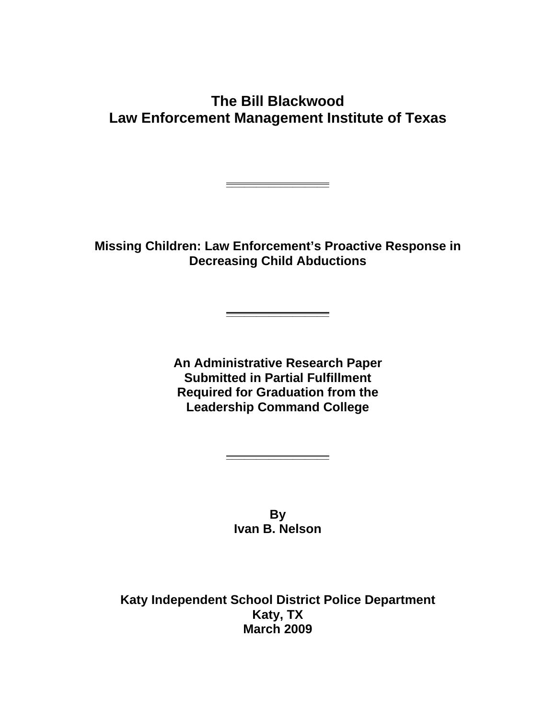# **The Bill Blackwood Law Enforcement Management Institute of Texas**

**Missing Children: Law Enforcement's Proactive Response in Decreasing Child Abductions**

**\_\_\_\_\_\_\_\_\_\_\_\_\_\_\_\_\_**

**\_\_\_\_\_\_\_\_\_\_\_\_\_\_\_\_\_**

**An Administrative Research Paper Submitted in Partial Fulfillment Required for Graduation from the Leadership Command College**

> **By Ivan B. Nelson**

**\_\_\_\_\_\_\_\_\_\_\_\_\_\_\_\_\_**

**Katy Independent School District Police Department Katy, TX March 2009**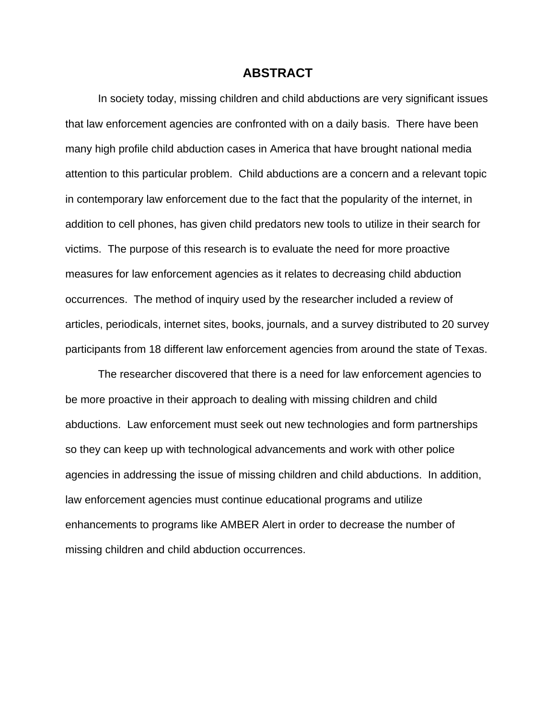#### **ABSTRACT**

In society today, missing children and child abductions are very significant issues that law enforcement agencies are confronted with on a daily basis. There have been many high profile child abduction cases in America that have brought national media attention to this particular problem. Child abductions are a concern and a relevant topic in contemporary law enforcement due to the fact that the popularity of the internet, in addition to cell phones, has given child predators new tools to utilize in their search for victims. The purpose of this research is to evaluate the need for more proactive measures for law enforcement agencies as it relates to decreasing child abduction occurrences. The method of inquiry used by the researcher included a review of articles, periodicals, internet sites, books, journals, and a survey distributed to 20 survey participants from 18 different law enforcement agencies from around the state of Texas.

The researcher discovered that there is a need for law enforcement agencies to be more proactive in their approach to dealing with missing children and child abductions. Law enforcement must seek out new technologies and form partnerships so they can keep up with technological advancements and work with other police agencies in addressing the issue of missing children and child abductions. In addition, law enforcement agencies must continue educational programs and utilize enhancements to programs like AMBER Alert in order to decrease the number of missing children and child abduction occurrences.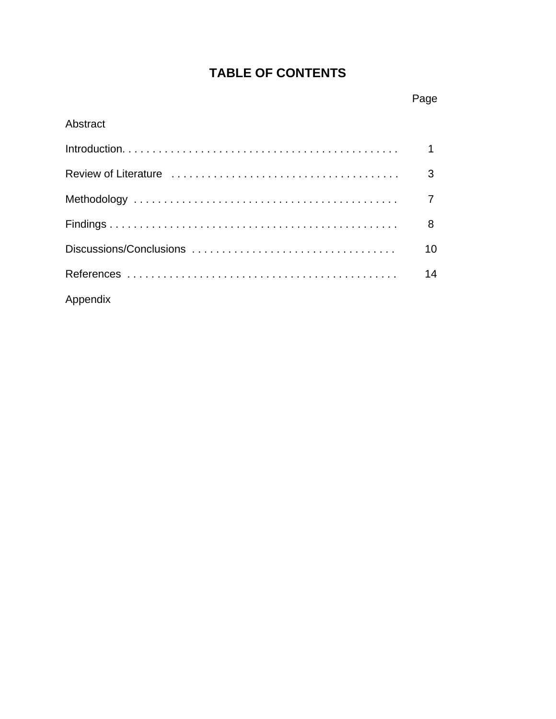# **TABLE OF CONTENTS**

## **Page Page Page**

## Abstract

|          | 10 <sup>°</sup> |
|----------|-----------------|
|          | 14              |
| Appendix |                 |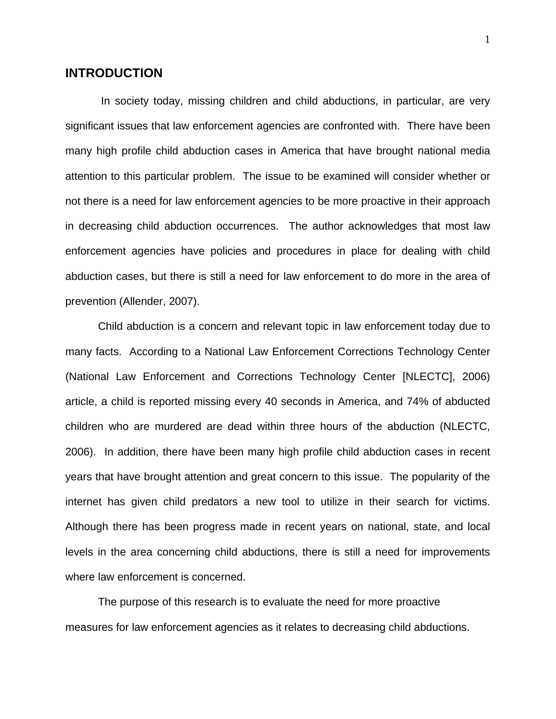### **INTRODUCTION**

 In society today, missing children and child abductions, in particular, are very significant issues that law enforcement agencies are confronted with. There have been many high profile child abduction cases in America that have brought national media attention to this particular problem. The issue to be examined will consider whether or not there is a need for law enforcement agencies to be more proactive in their approach in decreasing child abduction occurrences. The author acknowledges that most law enforcement agencies have policies and procedures in place for dealing with child abduction cases, but there is still a need for law enforcement to do more in the area of prevention (Allender, 2007).

Child abduction is a concern and relevant topic in law enforcement today due to many facts. According to a National Law Enforcement Corrections Technology Center (National Law Enforcement and Corrections Technology Center [NLECTC], 2006) article, a child is reported missing every 40 seconds in America, and 74% of abducted children who are murdered are dead within three hours of the abduction (NLECTC, 2006). In addition, there have been many high profile child abduction cases in recent years that have brought attention and great concern to this issue. The popularity of the internet has given child predators a new tool to utilize in their search for victims. Although there has been progress made in recent years on national, state, and local levels in the area concerning child abductions, there is still a need for improvements where law enforcement is concerned.

The purpose of this research is to evaluate the need for more proactive measures for law enforcement agencies as it relates to decreasing child abductions.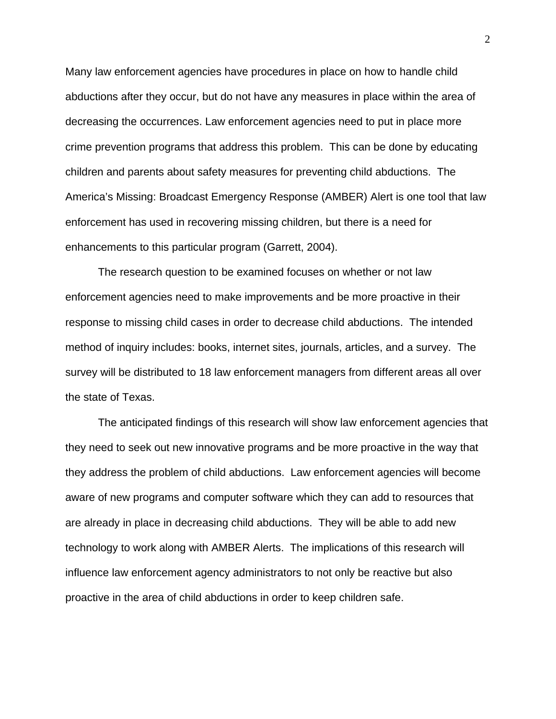Many law enforcement agencies have procedures in place on how to handle child abductions after they occur, but do not have any measures in place within the area of decreasing the occurrences. Law enforcement agencies need to put in place more crime prevention programs that address this problem. This can be done by educating children and parents about safety measures for preventing child abductions. The America's Missing: Broadcast Emergency Response (AMBER) Alert is one tool that law enforcement has used in recovering missing children, but there is a need for enhancements to this particular program (Garrett, 2004).

The research question to be examined focuses on whether or not law enforcement agencies need to make improvements and be more proactive in their response to missing child cases in order to decrease child abductions. The intended method of inquiry includes: books, internet sites, journals, articles, and a survey. The survey will be distributed to 18 law enforcement managers from different areas all over the state of Texas.

The anticipated findings of this research will show law enforcement agencies that they need to seek out new innovative programs and be more proactive in the way that they address the problem of child abductions. Law enforcement agencies will become aware of new programs and computer software which they can add to resources that are already in place in decreasing child abductions. They will be able to add new technology to work along with AMBER Alerts. The implications of this research will influence law enforcement agency administrators to not only be reactive but also proactive in the area of child abductions in order to keep children safe.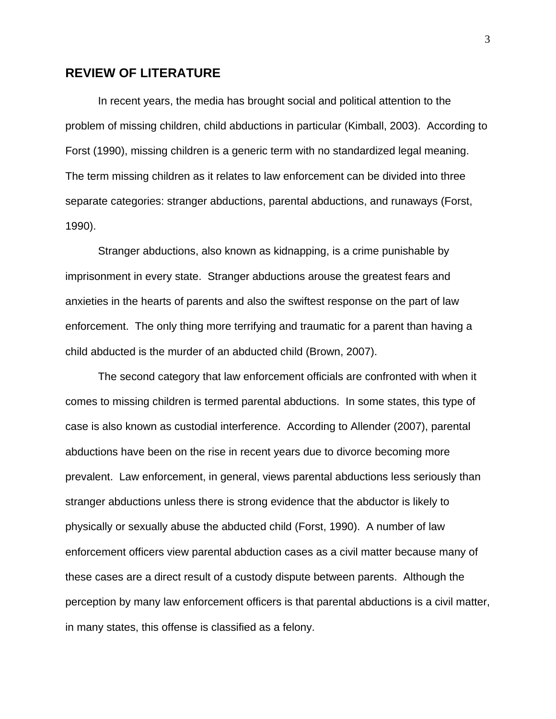#### **REVIEW OF LITERATURE**

 In recent years, the media has brought social and political attention to the problem of missing children, child abductions in particular (Kimball, 2003). According to Forst (1990), missing children is a generic term with no standardized legal meaning. The term missing children as it relates to law enforcement can be divided into three separate categories: stranger abductions, parental abductions, and runaways (Forst, 1990).

 Stranger abductions, also known as kidnapping, is a crime punishable by imprisonment in every state. Stranger abductions arouse the greatest fears and anxieties in the hearts of parents and also the swiftest response on the part of law enforcement. The only thing more terrifying and traumatic for a parent than having a child abducted is the murder of an abducted child (Brown, 2007).

 The second category that law enforcement officials are confronted with when it comes to missing children is termed parental abductions. In some states, this type of case is also known as custodial interference. According to Allender (2007), parental abductions have been on the rise in recent years due to divorce becoming more prevalent. Law enforcement, in general, views parental abductions less seriously than stranger abductions unless there is strong evidence that the abductor is likely to physically or sexually abuse the abducted child (Forst, 1990). A number of law enforcement officers view parental abduction cases as a civil matter because many of these cases are a direct result of a custody dispute between parents. Although the perception by many law enforcement officers is that parental abductions is a civil matter, in many states, this offense is classified as a felony.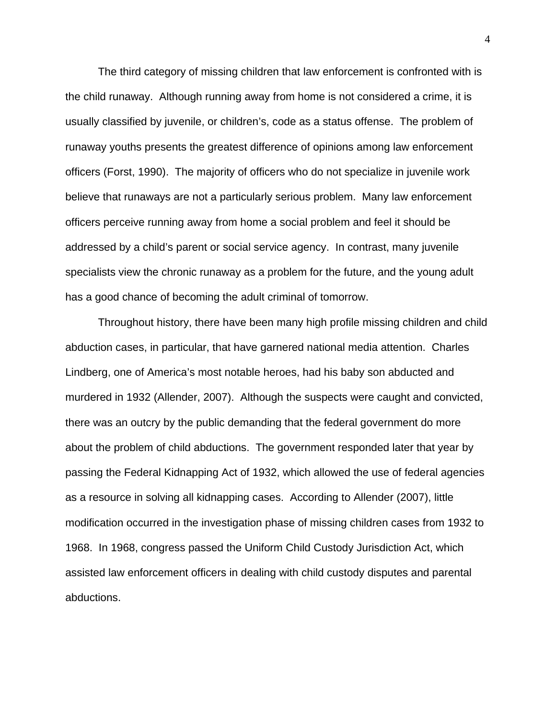The third category of missing children that law enforcement is confronted with is the child runaway. Although running away from home is not considered a crime, it is usually classified by juvenile, or children's, code as a status offense. The problem of runaway youths presents the greatest difference of opinions among law enforcement officers (Forst, 1990). The majority of officers who do not specialize in juvenile work believe that runaways are not a particularly serious problem. Many law enforcement officers perceive running away from home a social problem and feel it should be addressed by a child's parent or social service agency. In contrast, many juvenile specialists view the chronic runaway as a problem for the future, and the young adult has a good chance of becoming the adult criminal of tomorrow.

 Throughout history, there have been many high profile missing children and child abduction cases, in particular, that have garnered national media attention. Charles Lindberg, one of America's most notable heroes, had his baby son abducted and murdered in 1932 (Allender, 2007). Although the suspects were caught and convicted, there was an outcry by the public demanding that the federal government do more about the problem of child abductions. The government responded later that year by passing the Federal Kidnapping Act of 1932, which allowed the use of federal agencies as a resource in solving all kidnapping cases. According to Allender (2007), little modification occurred in the investigation phase of missing children cases from 1932 to 1968. In 1968, congress passed the Uniform Child Custody Jurisdiction Act, which assisted law enforcement officers in dealing with child custody disputes and parental abductions.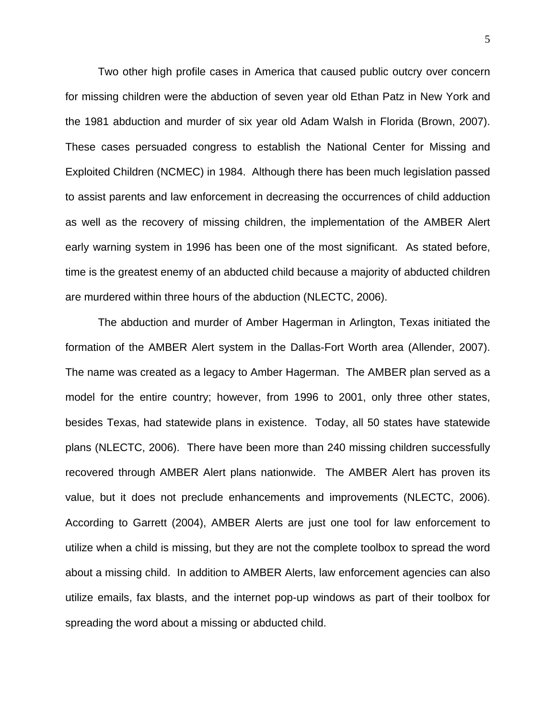Two other high profile cases in America that caused public outcry over concern for missing children were the abduction of seven year old Ethan Patz in New York and the 1981 abduction and murder of six year old Adam Walsh in Florida (Brown, 2007). These cases persuaded congress to establish the National Center for Missing and Exploited Children (NCMEC) in 1984. Although there has been much legislation passed to assist parents and law enforcement in decreasing the occurrences of child adduction as well as the recovery of missing children, the implementation of the AMBER Alert early warning system in 1996 has been one of the most significant. As stated before, time is the greatest enemy of an abducted child because a majority of abducted children are murdered within three hours of the abduction (NLECTC, 2006).

 The abduction and murder of Amber Hagerman in Arlington, Texas initiated the formation of the AMBER Alert system in the Dallas-Fort Worth area (Allender, 2007). The name was created as a legacy to Amber Hagerman. The AMBER plan served as a model for the entire country; however, from 1996 to 2001, only three other states, besides Texas, had statewide plans in existence. Today, all 50 states have statewide plans (NLECTC, 2006). There have been more than 240 missing children successfully recovered through AMBER Alert plans nationwide. The AMBER Alert has proven its value, but it does not preclude enhancements and improvements (NLECTC, 2006). According to Garrett (2004), AMBER Alerts are just one tool for law enforcement to utilize when a child is missing, but they are not the complete toolbox to spread the word about a missing child. In addition to AMBER Alerts, law enforcement agencies can also utilize emails, fax blasts, and the internet pop-up windows as part of their toolbox for spreading the word about a missing or abducted child.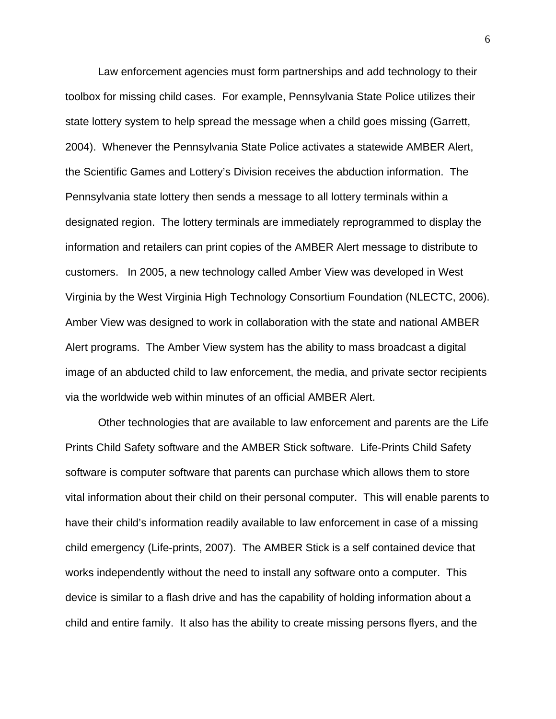Law enforcement agencies must form partnerships and add technology to their toolbox for missing child cases. For example, Pennsylvania State Police utilizes their state lottery system to help spread the message when a child goes missing (Garrett, 2004). Whenever the Pennsylvania State Police activates a statewide AMBER Alert, the Scientific Games and Lottery's Division receives the abduction information. The Pennsylvania state lottery then sends a message to all lottery terminals within a designated region. The lottery terminals are immediately reprogrammed to display the information and retailers can print copies of the AMBER Alert message to distribute to customers. In 2005, a new technology called Amber View was developed in West Virginia by the West Virginia High Technology Consortium Foundation (NLECTC, 2006). Amber View was designed to work in collaboration with the state and national AMBER Alert programs. The Amber View system has the ability to mass broadcast a digital image of an abducted child to law enforcement, the media, and private sector recipients via the worldwide web within minutes of an official AMBER Alert.

Other technologies that are available to law enforcement and parents are the Life Prints Child Safety software and the AMBER Stick software. Life-Prints Child Safety software is computer software that parents can purchase which allows them to store vital information about their child on their personal computer. This will enable parents to have their child's information readily available to law enforcement in case of a missing child emergency (Life-prints, 2007). The AMBER Stick is a self contained device that works independently without the need to install any software onto a computer. This device is similar to a flash drive and has the capability of holding information about a child and entire family. It also has the ability to create missing persons flyers, and the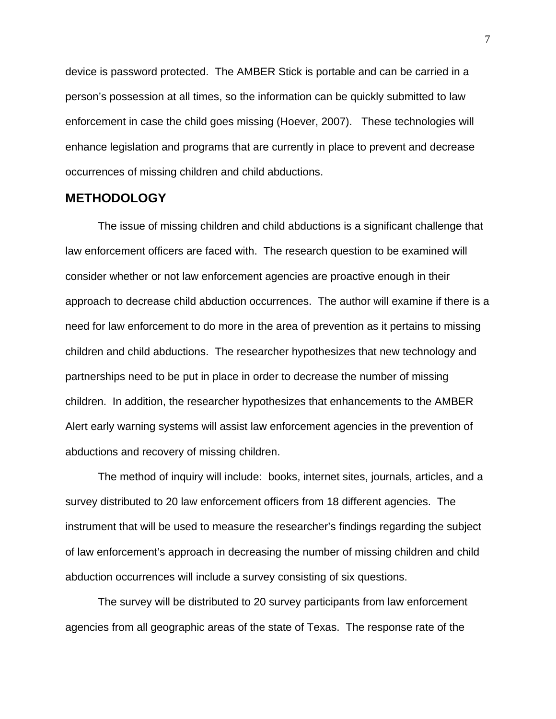device is password protected. The AMBER Stick is portable and can be carried in a person's possession at all times, so the information can be quickly submitted to law enforcement in case the child goes missing (Hoever, 2007). These technologies will enhance legislation and programs that are currently in place to prevent and decrease occurrences of missing children and child abductions.

#### **METHODOLOGY**

 The issue of missing children and child abductions is a significant challenge that law enforcement officers are faced with. The research question to be examined will consider whether or not law enforcement agencies are proactive enough in their approach to decrease child abduction occurrences. The author will examine if there is a need for law enforcement to do more in the area of prevention as it pertains to missing children and child abductions. The researcher hypothesizes that new technology and partnerships need to be put in place in order to decrease the number of missing children. In addition, the researcher hypothesizes that enhancements to the AMBER Alert early warning systems will assist law enforcement agencies in the prevention of abductions and recovery of missing children.

 The method of inquiry will include: books, internet sites, journals, articles, and a survey distributed to 20 law enforcement officers from 18 different agencies. The instrument that will be used to measure the researcher's findings regarding the subject of law enforcement's approach in decreasing the number of missing children and child abduction occurrences will include a survey consisting of six questions.

 The survey will be distributed to 20 survey participants from law enforcement agencies from all geographic areas of the state of Texas. The response rate of the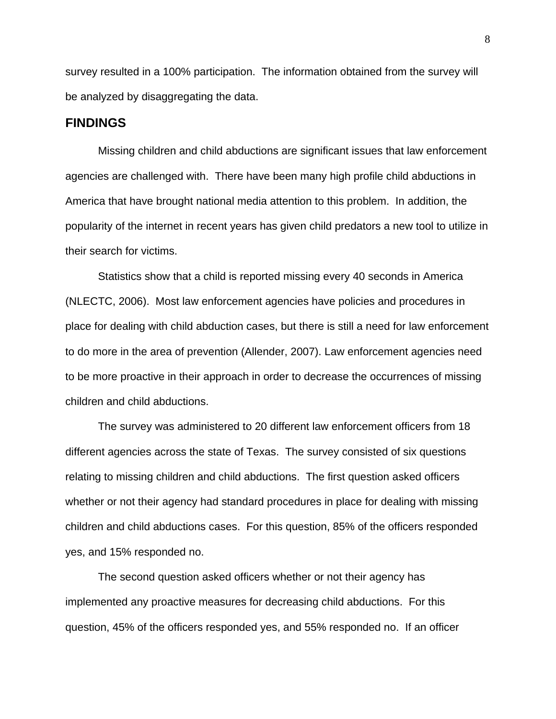survey resulted in a 100% participation. The information obtained from the survey will be analyzed by disaggregating the data.

#### **FINDINGS**

 Missing children and child abductions are significant issues that law enforcement agencies are challenged with. There have been many high profile child abductions in America that have brought national media attention to this problem. In addition, the popularity of the internet in recent years has given child predators a new tool to utilize in their search for victims.

 Statistics show that a child is reported missing every 40 seconds in America (NLECTC, 2006). Most law enforcement agencies have policies and procedures in place for dealing with child abduction cases, but there is still a need for law enforcement to do more in the area of prevention (Allender, 2007). Law enforcement agencies need to be more proactive in their approach in order to decrease the occurrences of missing children and child abductions.

 The survey was administered to 20 different law enforcement officers from 18 different agencies across the state of Texas. The survey consisted of six questions relating to missing children and child abductions. The first question asked officers whether or not their agency had standard procedures in place for dealing with missing children and child abductions cases. For this question, 85% of the officers responded yes, and 15% responded no.

 The second question asked officers whether or not their agency has implemented any proactive measures for decreasing child abductions. For this question, 45% of the officers responded yes, and 55% responded no. If an officer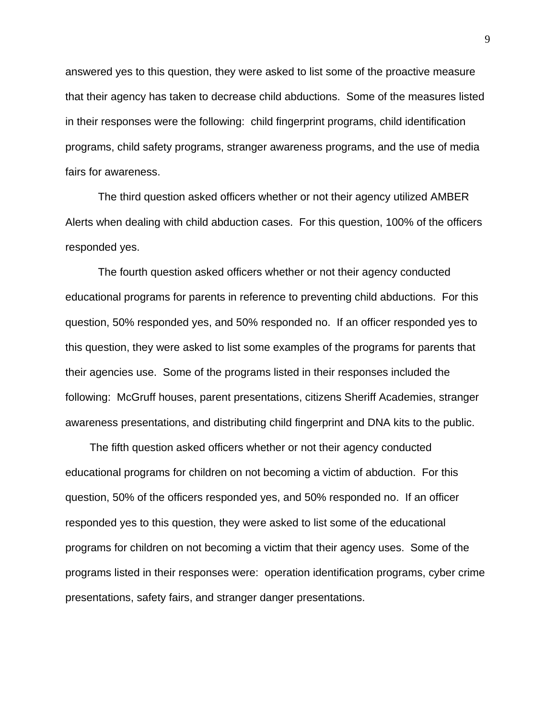answered yes to this question, they were asked to list some of the proactive measure that their agency has taken to decrease child abductions. Some of the measures listed in their responses were the following: child fingerprint programs, child identification programs, child safety programs, stranger awareness programs, and the use of media fairs for awareness.

The third question asked officers whether or not their agency utilized AMBER Alerts when dealing with child abduction cases. For this question, 100% of the officers responded yes.

 The fourth question asked officers whether or not their agency conducted educational programs for parents in reference to preventing child abductions. For this question, 50% responded yes, and 50% responded no. If an officer responded yes to this question, they were asked to list some examples of the programs for parents that their agencies use. Some of the programs listed in their responses included the following: McGruff houses, parent presentations, citizens Sheriff Academies, stranger awareness presentations, and distributing child fingerprint and DNA kits to the public.

 The fifth question asked officers whether or not their agency conducted educational programs for children on not becoming a victim of abduction. For this question, 50% of the officers responded yes, and 50% responded no. If an officer responded yes to this question, they were asked to list some of the educational programs for children on not becoming a victim that their agency uses. Some of the programs listed in their responses were: operation identification programs, cyber crime presentations, safety fairs, and stranger danger presentations.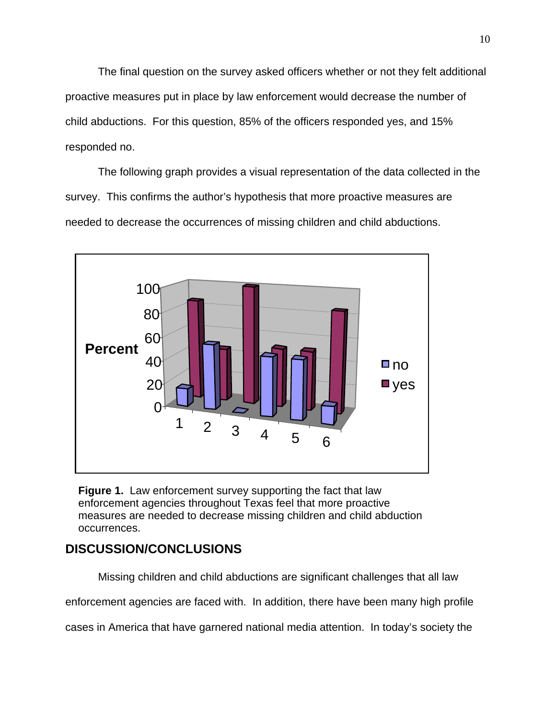The final question on the survey asked officers whether or not they felt additional proactive measures put in place by law enforcement would decrease the number of child abductions. For this question, 85% of the officers responded yes, and 15% responded no.

 The following graph provides a visual representation of the data collected in the survey. This confirms the author's hypothesis that more proactive measures are needed to decrease the occurrences of missing children and child abductions.



**Figure 1.** Law enforcement survey supporting the fact that law enforcement agencies throughout Texas feel that more proactive measures are needed to decrease missing children and child abduction occurrences.

## **DISCUSSION/CONCLUSIONS**

 Missing children and child abductions are significant challenges that all law enforcement agencies are faced with. In addition, there have been many high profile cases in America that have garnered national media attention. In today's society the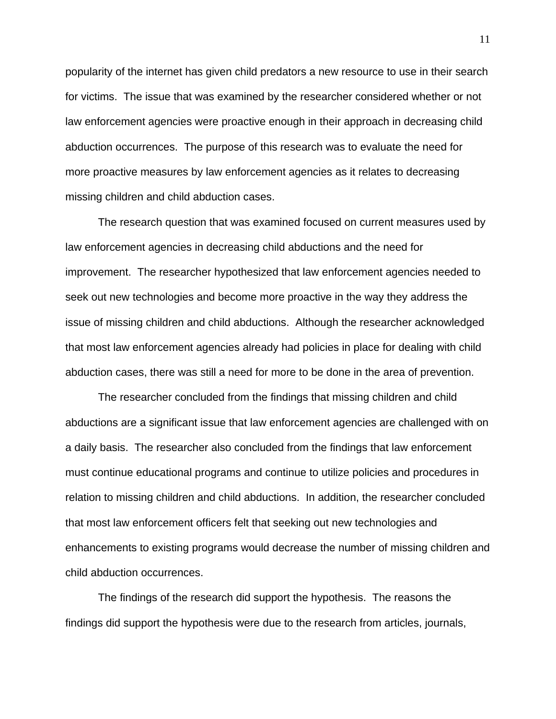popularity of the internet has given child predators a new resource to use in their search for victims. The issue that was examined by the researcher considered whether or not law enforcement agencies were proactive enough in their approach in decreasing child abduction occurrences. The purpose of this research was to evaluate the need for more proactive measures by law enforcement agencies as it relates to decreasing missing children and child abduction cases.

The research question that was examined focused on current measures used by law enforcement agencies in decreasing child abductions and the need for improvement. The researcher hypothesized that law enforcement agencies needed to seek out new technologies and become more proactive in the way they address the issue of missing children and child abductions. Although the researcher acknowledged that most law enforcement agencies already had policies in place for dealing with child abduction cases, there was still a need for more to be done in the area of prevention.

The researcher concluded from the findings that missing children and child abductions are a significant issue that law enforcement agencies are challenged with on a daily basis. The researcher also concluded from the findings that law enforcement must continue educational programs and continue to utilize policies and procedures in relation to missing children and child abductions. In addition, the researcher concluded that most law enforcement officers felt that seeking out new technologies and enhancements to existing programs would decrease the number of missing children and child abduction occurrences.

The findings of the research did support the hypothesis. The reasons the findings did support the hypothesis were due to the research from articles, journals, 11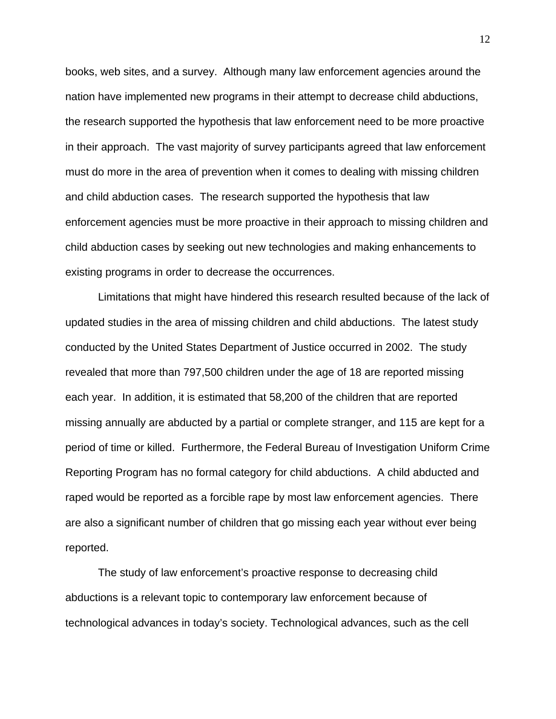books, web sites, and a survey. Although many law enforcement agencies around the nation have implemented new programs in their attempt to decrease child abductions, the research supported the hypothesis that law enforcement need to be more proactive in their approach. The vast majority of survey participants agreed that law enforcement must do more in the area of prevention when it comes to dealing with missing children and child abduction cases. The research supported the hypothesis that law enforcement agencies must be more proactive in their approach to missing children and child abduction cases by seeking out new technologies and making enhancements to existing programs in order to decrease the occurrences.

Limitations that might have hindered this research resulted because of the lack of updated studies in the area of missing children and child abductions. The latest study conducted by the United States Department of Justice occurred in 2002. The study revealed that more than 797,500 children under the age of 18 are reported missing each year. In addition, it is estimated that 58,200 of the children that are reported missing annually are abducted by a partial or complete stranger, and 115 are kept for a period of time or killed. Furthermore, the Federal Bureau of Investigation Uniform Crime Reporting Program has no formal category for child abductions. A child abducted and raped would be reported as a forcible rape by most law enforcement agencies. There are also a significant number of children that go missing each year without ever being reported.

The study of law enforcement's proactive response to decreasing child abductions is a relevant topic to contemporary law enforcement because of technological advances in today's society. Technological advances, such as the cell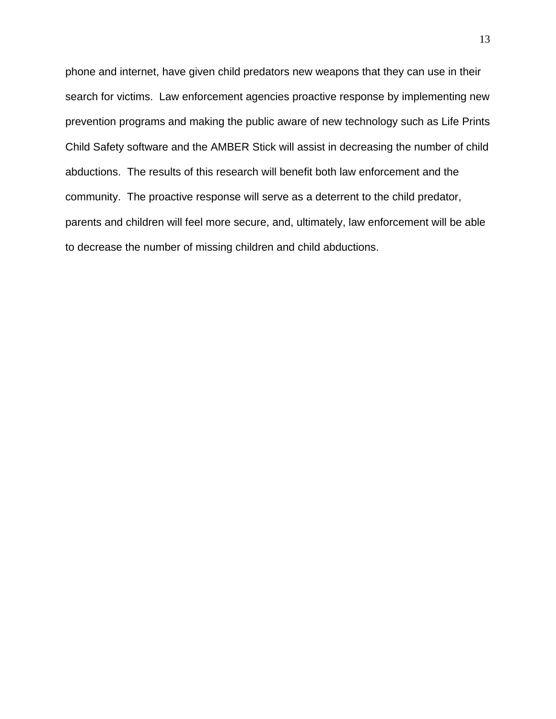phone and internet, have given child predators new weapons that they can use in their search for victims. Law enforcement agencies proactive response by implementing new prevention programs and making the public aware of new technology such as Life Prints Child Safety software and the AMBER Stick will assist in decreasing the number of child abductions. The results of this research will benefit both law enforcement and the community. The proactive response will serve as a deterrent to the child predator, parents and children will feel more secure, and, ultimately, law enforcement will be able to decrease the number of missing children and child abductions.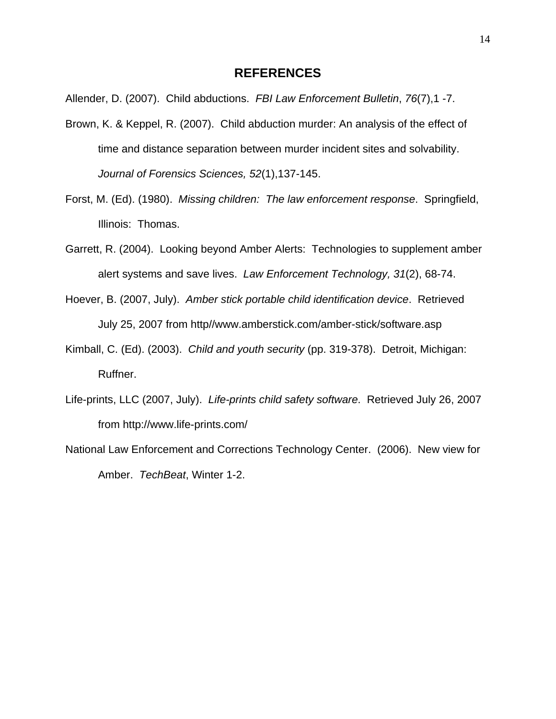#### **REFERENCES**

Allender, D. (2007). Child abductions. *FBI Law Enforcement Bulletin*, *76*(7),1 -7.

- Brown, K. & Keppel, R. (2007). Child abduction murder: An analysis of the effect of time and distance separation between murder incident sites and solvability. *Journal of Forensics Sciences, 52*(1),137-145.
- Forst, M. (Ed). (1980). *Missing children: The law enforcement response*. Springfield, Illinois: Thomas.
- Garrett, R. (2004). Looking beyond Amber Alerts: Technologies to supplement amber alert systems and save lives. *Law Enforcement Technology, 31*(2), 68-74.
- Hoever, B. (2007, July). *Amber stick portable child identification device*. Retrieved July 25, 2007 from http//www.amberstick.com/amber-stick/software.asp
- Kimball, C. (Ed). (2003). *Child and youth security* (pp. 319-378). Detroit, Michigan: Ruffner.
- Life-prints, LLC (2007, July). *Life-prints child safety software*. Retrieved July 26, 2007 from http://www.life-prints.com/
- National Law Enforcement and Corrections Technology Center. (2006). New view for Amber. *TechBeat*, Winter 1-2.